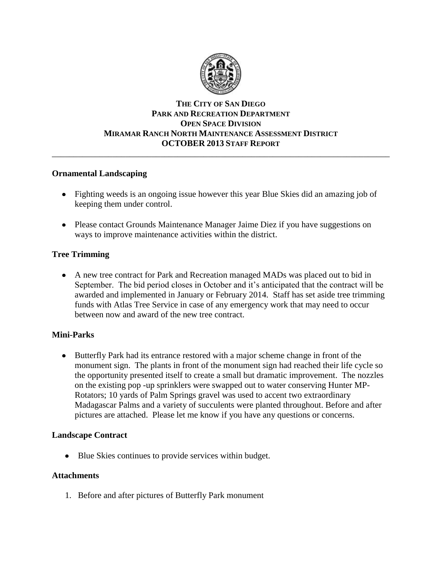

## **THE CITY OF SAN DIEGO PARK AND RECREATION DEPARTMENT OPEN SPACE DIVISION MIRAMAR RANCH NORTH MAINTENANCE ASSESSMENT DISTRICT OCTOBER 2013 STAFF REPORT** \_\_\_\_\_\_\_\_\_\_\_\_\_\_\_\_\_\_\_\_\_\_\_\_\_\_\_\_\_\_\_\_\_\_\_\_\_\_\_\_\_\_\_\_\_\_\_\_\_\_\_\_\_\_\_\_\_\_\_\_\_\_\_\_\_\_\_\_\_\_\_\_\_\_\_\_\_\_

## **Ornamental Landscaping**

- Fighting weeds is an ongoing issue however this year Blue Skies did an amazing job of keeping them under control.
- Please contact Grounds Maintenance Manager Jaime Diez if you have suggestions on ways to improve maintenance activities within the district.

# **Tree Trimming**

A new tree contract for Park and Recreation managed MADs was placed out to bid in September. The bid period closes in October and it's anticipated that the contract will be awarded and implemented in January or February 2014. Staff has set aside tree trimming funds with Atlas Tree Service in case of any emergency work that may need to occur between now and award of the new tree contract.

# **Mini-Parks**

 $\bullet$ Butterfly Park had its entrance restored with a major scheme change in front of the monument sign. The plants in front of the monument sign had reached their life cycle so the opportunity presented itself to create a small but dramatic improvement. The nozzles on the existing pop -up sprinklers were swapped out to water conserving Hunter MP-Rotators; 10 yards of Palm Springs gravel was used to accent two extraordinary Madagascar Palms and a variety of succulents were planted throughout. Before and after pictures are attached. Please let me know if you have any questions or concerns.

#### **Landscape Contract**

Blue Skies continues to provide services within budget.

#### **Attachments**

1. Before and after pictures of Butterfly Park monument